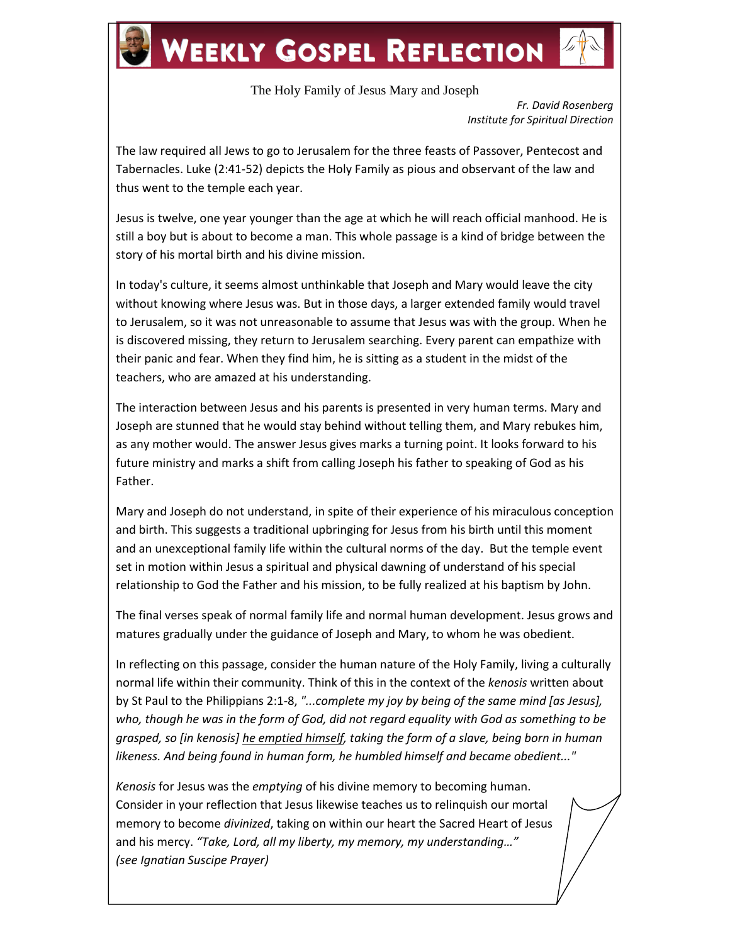## **WEEKLY GOSPEL REFLECTION**

## The Holy Family of Jesus Mary and Joseph

*Fr. David Rosenberg Institute for Spiritual Direction*

The law required all Jews to go to Jerusalem for the three feasts of Passover, Pentecost and Tabernacles. Luke (2:41-52) depicts the Holy Family as pious and observant of the law and thus went to the temple each year.

Jesus is twelve, one year younger than the age at which he will reach official manhood. He is still a boy but is about to become a man. This whole passage is a kind of bridge between the story of his mortal birth and his divine mission.

In today's culture, it seems almost unthinkable that Joseph and Mary would leave the city without knowing where Jesus was. But in those days, a larger extended family would travel to Jerusalem, so it was not unreasonable to assume that Jesus was with the group. When he is discovered missing, they return to Jerusalem searching. Every parent can empathize with their panic and fear. When they find him, he is sitting as a student in the midst of the teachers, who are amazed at his understanding.

The interaction between Jesus and his parents is presented in very human terms. Mary and Joseph are stunned that he would stay behind without telling them, and Mary rebukes him, as any mother would. The answer Jesus gives marks a turning point. It looks forward to his future ministry and marks a shift from calling Joseph his father to speaking of God as his Father.

Mary and Joseph do not understand, in spite of their experience of his miraculous conception and birth. This suggests a traditional upbringing for Jesus from his birth until this moment and an unexceptional family life within the cultural norms of the day. But the temple event set in motion within Jesus a spiritual and physical dawning of understand of his special relationship to God the Father and his mission, to be fully realized at his baptism by John.

The final verses speak of normal family life and normal human development. Jesus grows and matures gradually under the guidance of Joseph and Mary, to whom he was obedient.

In reflecting on this passage, consider the human nature of the Holy Family, living a culturally normal life within their community. Think of this in the context of the *kenosis* written about by St Paul to the Philippians 2:1-8, *"...complete my joy by being of the same mind [as Jesus], who, though he was in the form of God, did not regard equality with God as something to be grasped, so [in kenosis] he emptied himself, taking the form of a slave, being born in human likeness. And being found in human form, he humbled himself and became obedient..."*

*Kenosis* for Jesus was the *emptying* of his divine memory to becoming human. Consider in your reflection that Jesus likewise teaches us to relinquish our mortal memory to become *divinized*, taking on within our heart the Sacred Heart of Jesus and his mercy. *"Take, Lord, all my liberty, my memory, my understanding…" (see Ignatian Suscipe Prayer)*